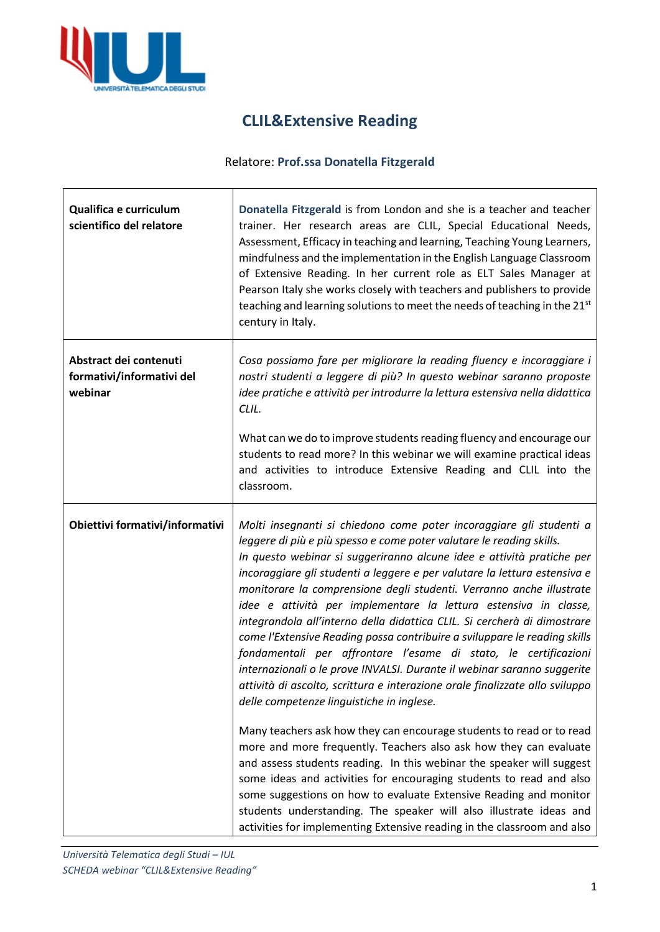

 $\overline{\phantom{a}}$ 

## **CLIL&Extensive Reading**

## Relatore: **Prof.ssa Donatella Fitzgerald**

| Qualifica e curriculum<br>scientifico del relatore             | Donatella Fitzgerald is from London and she is a teacher and teacher<br>trainer. Her research areas are CLIL, Special Educational Needs,<br>Assessment, Efficacy in teaching and learning, Teaching Young Learners,<br>mindfulness and the implementation in the English Language Classroom<br>of Extensive Reading. In her current role as ELT Sales Manager at<br>Pearson Italy she works closely with teachers and publishers to provide<br>teaching and learning solutions to meet the needs of teaching in the 21st<br>century in Italy.                                                                                                                                                                                                                                                                                                                                                                                                                                                                                  |
|----------------------------------------------------------------|--------------------------------------------------------------------------------------------------------------------------------------------------------------------------------------------------------------------------------------------------------------------------------------------------------------------------------------------------------------------------------------------------------------------------------------------------------------------------------------------------------------------------------------------------------------------------------------------------------------------------------------------------------------------------------------------------------------------------------------------------------------------------------------------------------------------------------------------------------------------------------------------------------------------------------------------------------------------------------------------------------------------------------|
| Abstract dei contenuti<br>formativi/informativi del<br>webinar | Cosa possiamo fare per migliorare la reading fluency e incoraggiare i<br>nostri studenti a leggere di più? In questo webinar saranno proposte<br>idee pratiche e attività per introdurre la lettura estensiva nella didattica<br>CLIL.                                                                                                                                                                                                                                                                                                                                                                                                                                                                                                                                                                                                                                                                                                                                                                                         |
|                                                                | What can we do to improve students reading fluency and encourage our<br>students to read more? In this webinar we will examine practical ideas<br>and activities to introduce Extensive Reading and CLIL into the<br>classroom.                                                                                                                                                                                                                                                                                                                                                                                                                                                                                                                                                                                                                                                                                                                                                                                                |
| Obiettivi formativi/informativi                                | Molti insegnanti si chiedono come poter incoraggiare gli studenti a<br>leggere di più e più spesso e come poter valutare le reading skills.<br>In questo webinar si suggeriranno alcune idee e attività pratiche per<br>incoraggiare gli studenti a leggere e per valutare la lettura estensiva e<br>monitorare la comprensione degli studenti. Verranno anche illustrate<br>idee e attività per implementare la lettura estensiva in classe,<br>integrandola all'interno della didattica CLIL. Si cercherà di dimostrare<br>come l'Extensive Reading possa contribuire a sviluppare le reading skills<br>fondamentali per affrontare l'esame di stato, le certificazioni<br>internazionali o le prove INVALSI. Durante il webinar saranno suggerite<br>attività di ascolto, scrittura e interazione orale finalizzate allo sviluppo<br>delle competenze linguistiche in inglese.<br>Many teachers ask how they can encourage students to read or to read<br>more and more frequently. Teachers also ask how they can evaluate |
|                                                                | and assess students reading. In this webinar the speaker will suggest<br>some ideas and activities for encouraging students to read and also<br>some suggestions on how to evaluate Extensive Reading and monitor<br>students understanding. The speaker will also illustrate ideas and<br>activities for implementing Extensive reading in the classroom and also                                                                                                                                                                                                                                                                                                                                                                                                                                                                                                                                                                                                                                                             |

٦